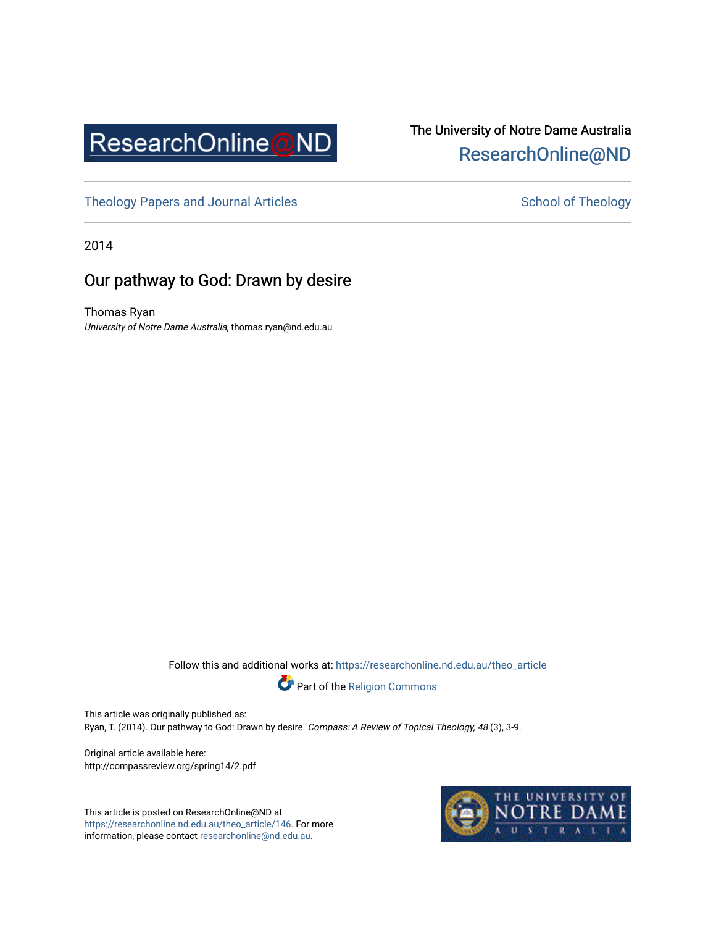

## The University of Notre Dame Australia [ResearchOnline@ND](https://researchonline.nd.edu.au/)

[Theology Papers and Journal Articles](https://researchonline.nd.edu.au/theo_article) and [School of Theology](https://researchonline.nd.edu.au/theo) School of Theology

2014

### Our pathway to God: Drawn by desire

Thomas Ryan University of Notre Dame Australia, thomas.ryan@nd.edu.au

Follow this and additional works at: [https://researchonline.nd.edu.au/theo\\_article](https://researchonline.nd.edu.au/theo_article?utm_source=researchonline.nd.edu.au%2Ftheo_article%2F146&utm_medium=PDF&utm_campaign=PDFCoverPages) 



This article was originally published as: Ryan, T. (2014). Our pathway to God: Drawn by desire. Compass: A Review of Topical Theology, 48 (3), 3-9.

Original article available here: http://compassreview.org/spring14/2.pdf

This article is posted on ResearchOnline@ND at [https://researchonline.nd.edu.au/theo\\_article/146](https://researchonline.nd.edu.au/theo_article/146). For more information, please contact [researchonline@nd.edu.au.](mailto:researchonline@nd.edu.au)

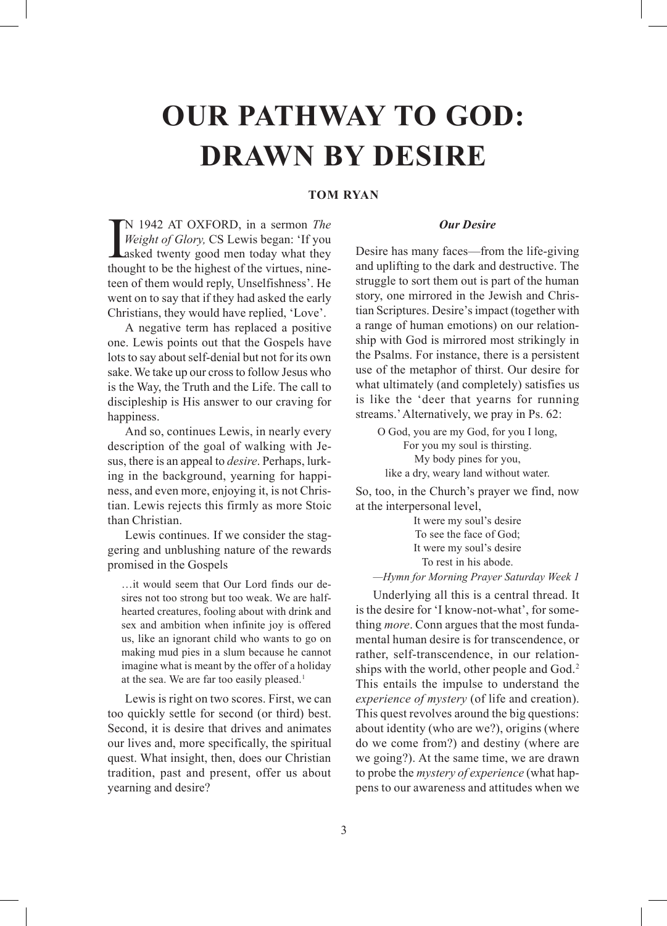# **OUR PATHWAY TO GOD: DRAWN BY DESIRE**

#### **TOM RYAN**

 $\prod_{\text{thou}}$ N 1942 AT OXFORD, in a sermon *The Weight of Glory,* CS Lewis began: 'If you asked twenty good men today what they thought to be the highest of the virtues, nineteen of them would reply, Unselfishness'. He went on to say that if they had asked the early Christians, they would have replied, 'Love'.

A negative term has replaced a positive one. Lewis points out that the Gospels have lots to say about self-denial but not for its own sake. We take up our cross to follow Jesus who is the Way, the Truth and the Life. The call to discipleship is His answer to our craving for happiness.

And so, continues Lewis, in nearly every description of the goal of walking with Jesus, there is an appeal to *desire*. Perhaps, lurking in the background, yearning for happiness, and even more, enjoying it, is not Christian. Lewis rejects this firmly as more Stoic than Christian.

Lewis continues. If we consider the staggering and unblushing nature of the rewards promised in the Gospels

…it would seem that Our Lord finds our desires not too strong but too weak. We are halfhearted creatures, fooling about with drink and sex and ambition when infinite joy is offered us, like an ignorant child who wants to go on making mud pies in a slum because he cannot imagine what is meant by the offer of a holiday at the sea. We are far too easily pleased.<sup>1</sup>

Lewis is right on two scores. First, we can too quickly settle for second (or third) best. Second, it is desire that drives and animates our lives and, more specifically, the spiritual quest. What insight, then, does our Christian tradition, past and present, offer us about yearning and desire?

#### *Our Desire*

Desire has many faces—from the life-giving and uplifting to the dark and destructive. The struggle to sort them out is part of the human story, one mirrored in the Jewish and Christian Scriptures. Desire's impact (together with a range of human emotions) on our relationship with God is mirrored most strikingly in the Psalms. For instance, there is a persistent use of the metaphor of thirst. Our desire for what ultimately (and completely) satisfies us is like the 'deer that yearns for running streams.' Alternatively, we pray in Ps. 62:

O God, you are my God, for you I long, For you my soul is thirsting. My body pines for you, like a dry, weary land without water.

So, too, in the Church's prayer we find, now at the interpersonal level,

> It were my soul's desire To see the face of God; It were my soul's desire To rest in his abode.

*—Hymn for Morning Prayer Saturday Week 1*

Underlying all this is a central thread. It is the desire for 'I know-not-what', for something *more*. Conn argues that the most fundamental human desire is for transcendence, or rather, self-transcendence, in our relationships with the world, other people and God.<sup>2</sup> This entails the impulse to understand the *experience of mystery* (of life and creation). This quest revolves around the big questions: about identity (who are we?), origins (where do we come from?) and destiny (where are we going?). At the same time, we are drawn to probe the *mystery of experience* (what happens to our awareness and attitudes when we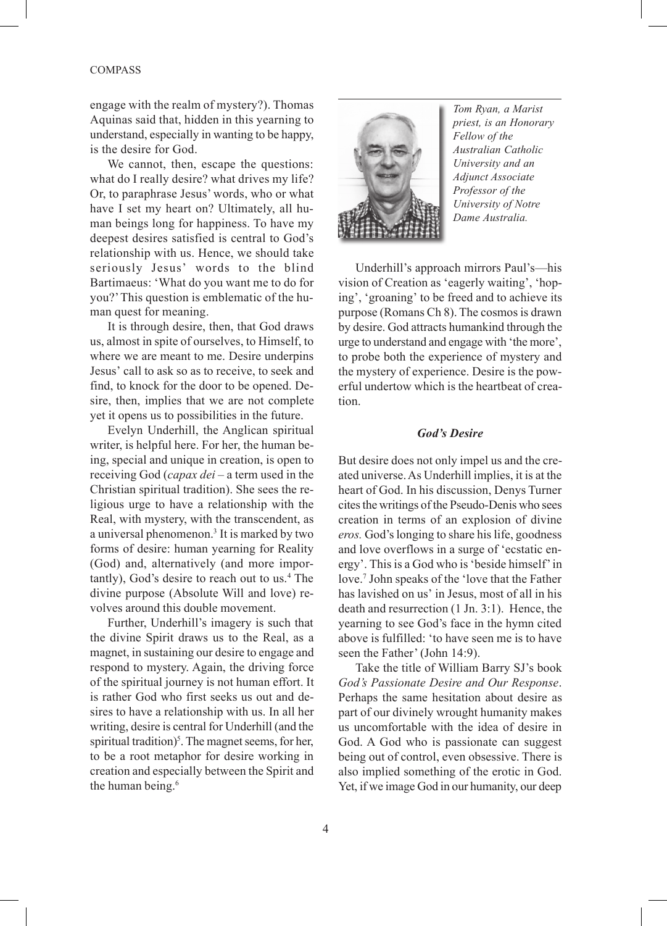#### COMPASS

engage with the realm of mystery?). Thomas Aquinas said that, hidden in this yearning to understand, especially in wanting to be happy, is the desire for God.

We cannot, then, escape the questions: what do I really desire? what drives my life? Or, to paraphrase Jesus' words, who or what have I set my heart on? Ultimately, all human beings long for happiness. To have my deepest desires satisfied is central to God's relationship with us. Hence, we should take seriously Jesus' words to the blind Bartimaeus: 'What do you want me to do for you?' This question is emblematic of the human quest for meaning.

It is through desire, then, that God draws us, almost in spite of ourselves, to Himself, to where we are meant to me. Desire underpins Jesus' call to ask so as to receive, to seek and find, to knock for the door to be opened. Desire, then, implies that we are not complete yet it opens us to possibilities in the future.

Evelyn Underhill, the Anglican spiritual writer, is helpful here. For her, the human being, special and unique in creation, is open to receiving God (*capax dei* – a term used in the Christian spiritual tradition). She sees the religious urge to have a relationship with the Real, with mystery, with the transcendent, as a universal phenomenon.<sup>3</sup> It is marked by two forms of desire: human yearning for Reality (God) and, alternatively (and more importantly), God's desire to reach out to us.<sup>4</sup> The divine purpose (Absolute Will and love) revolves around this double movement.

Further, Underhill's imagery is such that the divine Spirit draws us to the Real, as a magnet, in sustaining our desire to engage and respond to mystery. Again, the driving force of the spiritual journey is not human effort. It is rather God who first seeks us out and desires to have a relationship with us. In all her writing, desire is central for Underhill (and the spiritual tradition)<sup>5</sup>. The magnet seems, for her, to be a root metaphor for desire working in creation and especially between the Spirit and the human being.<sup>6</sup>



*Tom Ryan, a Marist priest, is an Honorary Fellow of the Australian Catholic University and an Adjunct Associate Professor of the University of Notre Dame Australia.*

Underhill's approach mirrors Paul's—his vision of Creation as 'eagerly waiting', 'hoping', 'groaning' to be freed and to achieve its purpose (Romans Ch 8). The cosmos is drawn by desire. God attracts humankind through the urge to understand and engage with 'the more', to probe both the experience of mystery and the mystery of experience. Desire is the powerful undertow which is the heartbeat of creation.

#### *God's Desire*

But desire does not only impel us and the created universe. As Underhill implies, it is at the heart of God. In his discussion, Denys Turner cites the writings of the Pseudo-Denis who sees creation in terms of an explosion of divine *eros.* God's longing to share his life, goodness and love overflows in a surge of 'ecstatic energy'. This is a God who is 'beside himself' in love.7 John speaks of the 'love that the Father has lavished on us' in Jesus, most of all in his death and resurrection (1 Jn. 3:1). Hence, the yearning to see God's face in the hymn cited above is fulfilled: 'to have seen me is to have seen the Father' (John 14:9).

Take the title of William Barry SJ's book *God's Passionate Desire and Our Response*. Perhaps the same hesitation about desire as part of our divinely wrought humanity makes us uncomfortable with the idea of desire in God. A God who is passionate can suggest being out of control, even obsessive. There is also implied something of the erotic in God. Yet, if we image God in our humanity, our deep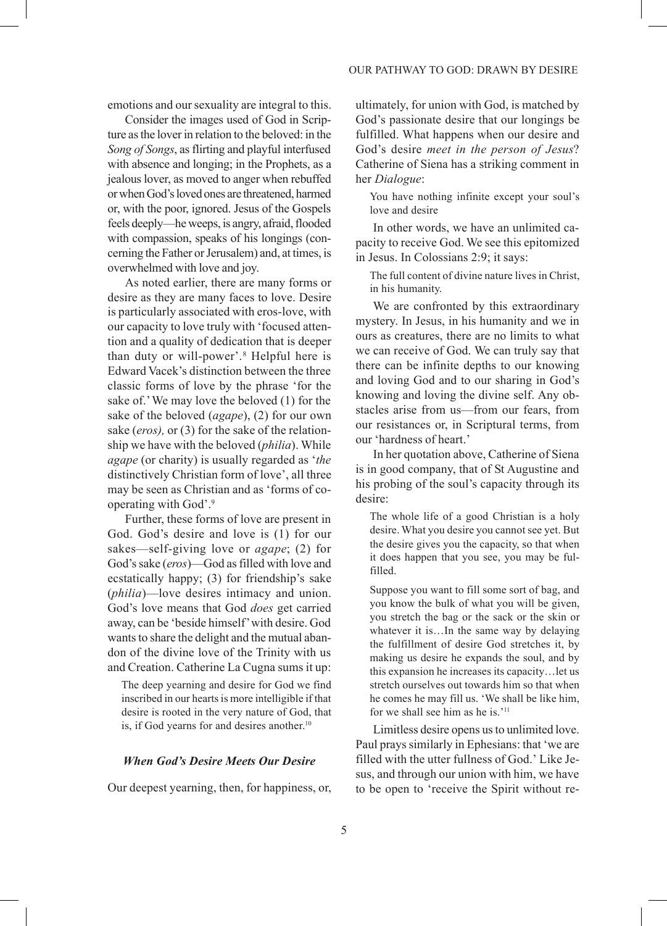emotions and our sexuality are integral to this.

Consider the images used of God in Scripture as the lover in relation to the beloved: in the *Song of Songs*, as flirting and playful interfused with absence and longing; in the Prophets, as a jealous lover, as moved to anger when rebuffed or when God's loved ones are threatened, harmed or, with the poor, ignored. Jesus of the Gospels feels deeply—he weeps, is angry, afraid, flooded with compassion, speaks of his longings (concerning the Father or Jerusalem) and, at times, is overwhelmed with love and joy.

As noted earlier, there are many forms or desire as they are many faces to love. Desire is particularly associated with eros-love, with our capacity to love truly with 'focused attention and a quality of dedication that is deeper than duty or will-power'.8 Helpful here is Edward Vacek's distinction between the three classic forms of love by the phrase 'for the sake of.' We may love the beloved (1) for the sake of the beloved (*agape*), (2) for our own sake (*eros),* or (3) for the sake of the relationship we have with the beloved (*philia*). While *agape* (or charity) is usually regarded as '*the* distinctively Christian form of love', all three may be seen as Christian and as 'forms of cooperating with God'.9

Further, these forms of love are present in God. God's desire and love is (1) for our sakes—self-giving love or *agape*; (2) for God's sake (*eros*)—God as filled with love and ecstatically happy; (3) for friendship's sake (*philia*)—love desires intimacy and union. God's love means that God *does* get carried away, can be 'beside himself' with desire. God wants to share the delight and the mutual abandon of the divine love of the Trinity with us and Creation. Catherine La Cugna sums it up:

The deep yearning and desire for God we find inscribed in our hearts is more intelligible if that desire is rooted in the very nature of God, that is, if God yearns for and desires another.<sup>10</sup>

#### *When God's Desire Meets Our Desire*

Our deepest yearning, then, for happiness, or,

ultimately, for union with God, is matched by God's passionate desire that our longings be fulfilled. What happens when our desire and God's desire *meet in the person of Jesus*? Catherine of Siena has a striking comment in her *Dialogue*:

You have nothing infinite except your soul's love and desire

In other words, we have an unlimited capacity to receive God. We see this epitomized in Jesus. In Colossians 2:9; it says:

The full content of divine nature lives in Christ, in his humanity.

We are confronted by this extraordinary mystery. In Jesus, in his humanity and we in ours as creatures, there are no limits to what we can receive of God. We can truly say that there can be infinite depths to our knowing and loving God and to our sharing in God's knowing and loving the divine self. Any obstacles arise from us—from our fears, from our resistances or, in Scriptural terms, from our 'hardness of heart.'

In her quotation above, Catherine of Siena is in good company, that of St Augustine and his probing of the soul's capacity through its desire:

The whole life of a good Christian is a holy desire. What you desire you cannot see yet. But the desire gives you the capacity, so that when it does happen that you see, you may be fulfilled.

Suppose you want to fill some sort of bag, and you know the bulk of what you will be given, you stretch the bag or the sack or the skin or whatever it is...In the same way by delaying the fulfillment of desire God stretches it, by making us desire he expands the soul, and by this expansion he increases its capacity…let us stretch ourselves out towards him so that when he comes he may fill us. 'We shall be like him, for we shall see him as he is.'11

Limitless desire opens us to unlimited love. Paul prays similarly in Ephesians: that 'we are filled with the utter fullness of God.' Like Jesus, and through our union with him, we have to be open to 'receive the Spirit without re-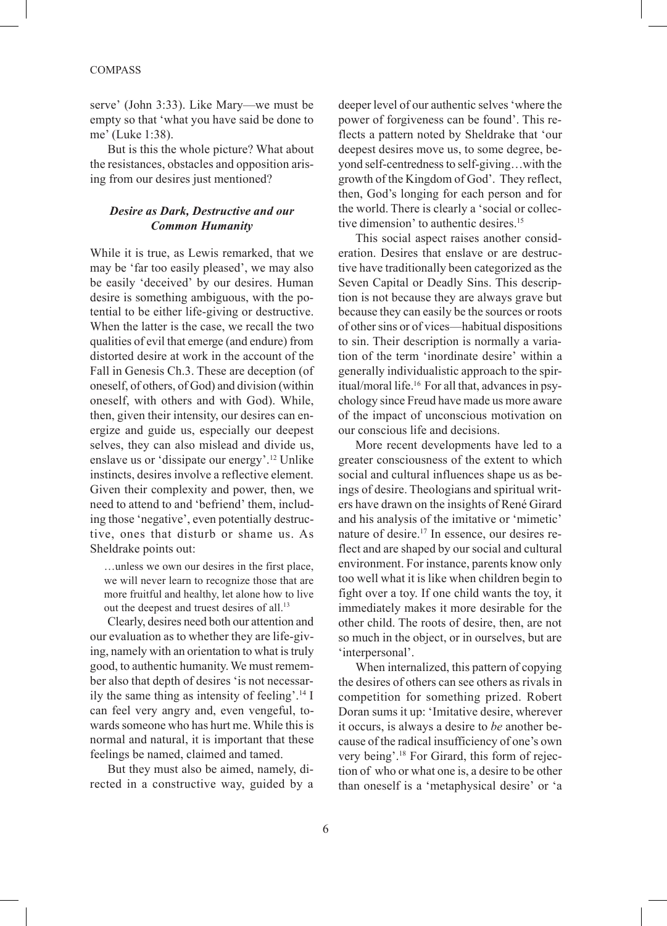#### COMPASS

serve' (John 3:33). Like Mary—we must be empty so that 'what you have said be done to me' (Luke 1:38).

But is this the whole picture? What about the resistances, obstacles and opposition arising from our desires just mentioned?

#### *Desire as Dark, Destructive and our Common Humanity*

While it is true, as Lewis remarked, that we may be 'far too easily pleased', we may also be easily 'deceived' by our desires. Human desire is something ambiguous, with the potential to be either life-giving or destructive. When the latter is the case, we recall the two qualities of evil that emerge (and endure) from distorted desire at work in the account of the Fall in Genesis Ch.3. These are deception (of oneself, of others, of God) and division (within oneself, with others and with God). While, then, given their intensity, our desires can energize and guide us, especially our deepest selves, they can also mislead and divide us, enslave us or 'dissipate our energy'.12 Unlike instincts, desires involve a reflective element. Given their complexity and power, then, we need to attend to and 'befriend' them, including those 'negative', even potentially destructive, ones that disturb or shame us. As Sheldrake points out:

…unless we own our desires in the first place, we will never learn to recognize those that are more fruitful and healthy, let alone how to live out the deepest and truest desires of all.<sup>13</sup>

Clearly, desires need both our attention and our evaluation as to whether they are life-giving, namely with an orientation to what is truly good, to authentic humanity. We must remember also that depth of desires 'is not necessarily the same thing as intensity of feeling'.14 I can feel very angry and, even vengeful, towards someone who has hurt me. While this is normal and natural, it is important that these feelings be named, claimed and tamed.

But they must also be aimed, namely, directed in a constructive way, guided by a

deeper level of our authentic selves 'where the power of forgiveness can be found'. This reflects a pattern noted by Sheldrake that 'our deepest desires move us, to some degree, beyond self-centredness to self-giving…with the growth of the Kingdom of God'. They reflect, then, God's longing for each person and for the world. There is clearly a 'social or collective dimension' to authentic desires.<sup>15</sup>

This social aspect raises another consideration. Desires that enslave or are destructive have traditionally been categorized as the Seven Capital or Deadly Sins. This description is not because they are always grave but because they can easily be the sources or roots of other sins or of vices—habitual dispositions to sin. Their description is normally a variation of the term 'inordinate desire' within a generally individualistic approach to the spiritual/moral life.16 For all that, advances in psychology since Freud have made us more aware of the impact of unconscious motivation on our conscious life and decisions.

More recent developments have led to a greater consciousness of the extent to which social and cultural influences shape us as beings of desire. Theologians and spiritual writers have drawn on the insights of René Girard and his analysis of the imitative or 'mimetic' nature of desire.17 In essence, our desires reflect and are shaped by our social and cultural environment. For instance, parents know only too well what it is like when children begin to fight over a toy. If one child wants the toy, it immediately makes it more desirable for the other child. The roots of desire, then, are not so much in the object, or in ourselves, but are 'interpersonal'.

When internalized, this pattern of copying the desires of others can see others as rivals in competition for something prized. Robert Doran sums it up: 'Imitative desire, wherever it occurs, is always a desire to *be* another because of the radical insufficiency of one's own very being'.18 For Girard, this form of rejection of who or what one is, a desire to be other than oneself is a 'metaphysical desire' or 'a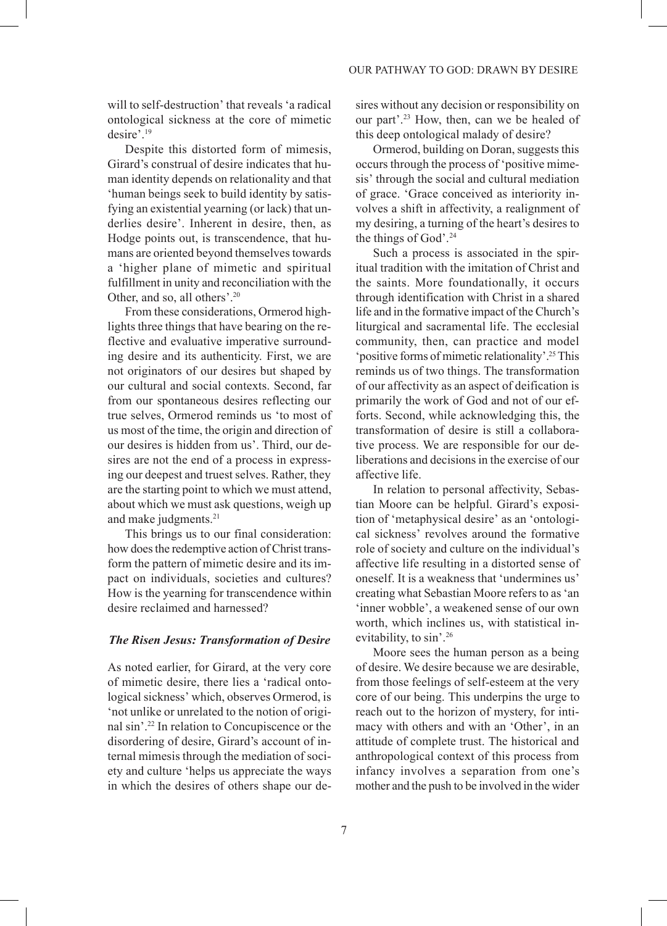will to self-destruction' that reveals 'a radical ontological sickness at the core of mimetic desire'.19

Despite this distorted form of mimesis, Girard's construal of desire indicates that human identity depends on relationality and that 'human beings seek to build identity by satisfying an existential yearning (or lack) that underlies desire'. Inherent in desire, then, as Hodge points out, is transcendence, that humans are oriented beyond themselves towards a 'higher plane of mimetic and spiritual fulfillment in unity and reconciliation with the Other, and so, all others'.20

From these considerations, Ormerod highlights three things that have bearing on the reflective and evaluative imperative surrounding desire and its authenticity. First, we are not originators of our desires but shaped by our cultural and social contexts. Second, far from our spontaneous desires reflecting our true selves, Ormerod reminds us 'to most of us most of the time, the origin and direction of our desires is hidden from us'. Third, our desires are not the end of a process in expressing our deepest and truest selves. Rather, they are the starting point to which we must attend, about which we must ask questions, weigh up and make judgments.<sup>21</sup>

This brings us to our final consideration: how does the redemptive action of Christ transform the pattern of mimetic desire and its impact on individuals, societies and cultures? How is the yearning for transcendence within desire reclaimed and harnessed?

#### *The Risen Jesus: Transformation of Desire*

As noted earlier, for Girard, at the very core of mimetic desire, there lies a 'radical ontological sickness' which, observes Ormerod, is 'not unlike or unrelated to the notion of original sin'.22 In relation to Concupiscence or the disordering of desire, Girard's account of internal mimesis through the mediation of society and culture 'helps us appreciate the ways in which the desires of others shape our desires without any decision or responsibility on our part'.23 How, then, can we be healed of this deep ontological malady of desire?

Ormerod, building on Doran, suggests this occurs through the process of 'positive mimesis' through the social and cultural mediation of grace. 'Grace conceived as interiority involves a shift in affectivity, a realignment of my desiring, a turning of the heart's desires to the things of God'.<sup>24</sup>

Such a process is associated in the spiritual tradition with the imitation of Christ and the saints. More foundationally, it occurs through identification with Christ in a shared life and in the formative impact of the Church's liturgical and sacramental life. The ecclesial community, then, can practice and model 'positive forms of mimetic relationality'.25 This reminds us of two things. The transformation of our affectivity as an aspect of deification is primarily the work of God and not of our efforts. Second, while acknowledging this, the transformation of desire is still a collaborative process. We are responsible for our deliberations and decisions in the exercise of our affective life.

In relation to personal affectivity, Sebastian Moore can be helpful. Girard's exposition of 'metaphysical desire' as an 'ontological sickness' revolves around the formative role of society and culture on the individual's affective life resulting in a distorted sense of oneself. It is a weakness that 'undermines us' creating what Sebastian Moore refers to as 'an 'inner wobble', a weakened sense of our own worth, which inclines us, with statistical inevitability, to sin'.26

Moore sees the human person as a being of desire. We desire because we are desirable, from those feelings of self-esteem at the very core of our being. This underpins the urge to reach out to the horizon of mystery, for intimacy with others and with an 'Other', in an attitude of complete trust. The historical and anthropological context of this process from infancy involves a separation from one's mother and the push to be involved in the wider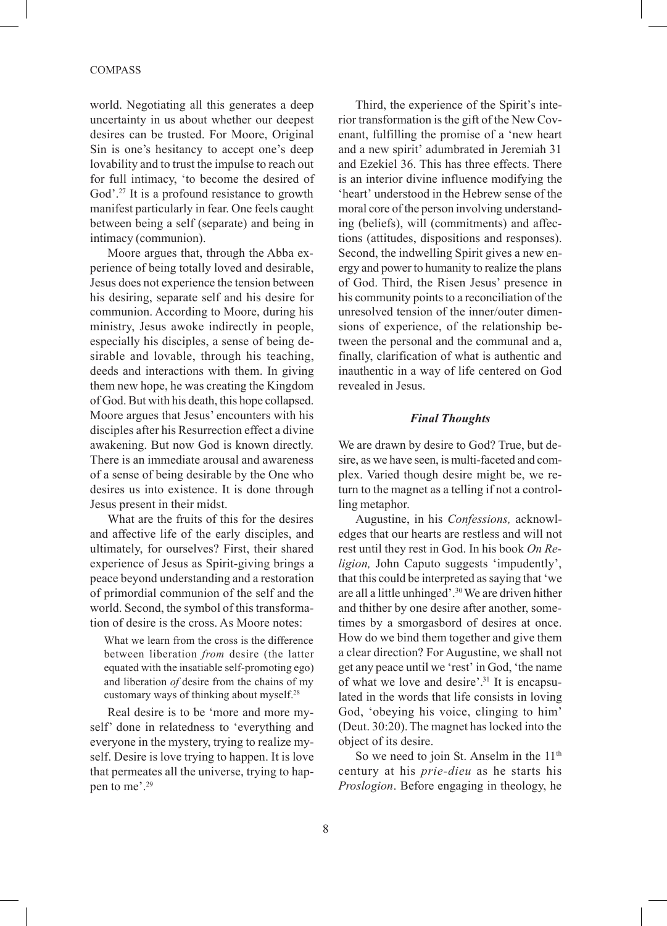#### COMPASS

world. Negotiating all this generates a deep uncertainty in us about whether our deepest desires can be trusted. For Moore, Original Sin is one's hesitancy to accept one's deep lovability and to trust the impulse to reach out for full intimacy, 'to become the desired of God'.<sup>27</sup> It is a profound resistance to growth manifest particularly in fear. One feels caught between being a self (separate) and being in intimacy (communion).

Moore argues that, through the Abba experience of being totally loved and desirable, Jesus does not experience the tension between his desiring, separate self and his desire for communion. According to Moore, during his ministry, Jesus awoke indirectly in people, especially his disciples, a sense of being desirable and lovable, through his teaching, deeds and interactions with them. In giving them new hope, he was creating the Kingdom of God. But with his death, this hope collapsed. Moore argues that Jesus' encounters with his disciples after his Resurrection effect a divine awakening. But now God is known directly. There is an immediate arousal and awareness of a sense of being desirable by the One who desires us into existence. It is done through Jesus present in their midst.

What are the fruits of this for the desires and affective life of the early disciples, and ultimately, for ourselves? First, their shared experience of Jesus as Spirit-giving brings a peace beyond understanding and a restoration of primordial communion of the self and the world. Second, the symbol of this transformation of desire is the cross. As Moore notes:

What we learn from the cross is the difference between liberation *from* desire (the latter equated with the insatiable self-promoting ego) and liberation *of* desire from the chains of my customary ways of thinking about myself.28

Real desire is to be 'more and more myself' done in relatedness to 'everything and everyone in the mystery, trying to realize myself. Desire is love trying to happen. It is love that permeates all the universe, trying to happen to me'.29

Third, the experience of the Spirit's interior transformation is the gift of the New Covenant, fulfilling the promise of a 'new heart and a new spirit' adumbrated in Jeremiah 31 and Ezekiel 36. This has three effects. There is an interior divine influence modifying the 'heart' understood in the Hebrew sense of the moral core of the person involving understanding (beliefs), will (commitments) and affections (attitudes, dispositions and responses). Second, the indwelling Spirit gives a new energy and power to humanity to realize the plans of God. Third, the Risen Jesus' presence in his community points to a reconciliation of the unresolved tension of the inner/outer dimensions of experience, of the relationship between the personal and the communal and a, finally, clarification of what is authentic and inauthentic in a way of life centered on God revealed in Jesus.

#### *Final Thoughts*

We are drawn by desire to God? True, but desire, as we have seen, is multi-faceted and complex. Varied though desire might be, we return to the magnet as a telling if not a controlling metaphor.

Augustine, in his *Confessions,* acknowledges that our hearts are restless and will not rest until they rest in God. In his book *On Religion,* John Caputo suggests 'impudently', that this could be interpreted as saying that 'we are all a little unhinged'.30 We are driven hither and thither by one desire after another, sometimes by a smorgasbord of desires at once. How do we bind them together and give them a clear direction? For Augustine, we shall not get any peace until we 'rest' in God, 'the name of what we love and desire'.31 It is encapsulated in the words that life consists in loving God, 'obeying his voice, clinging to him' (Deut. 30:20). The magnet has locked into the object of its desire.

So we need to join St. Anselm in the  $11<sup>th</sup>$ century at his *prie-dieu* as he starts his *Proslogion*. Before engaging in theology, he